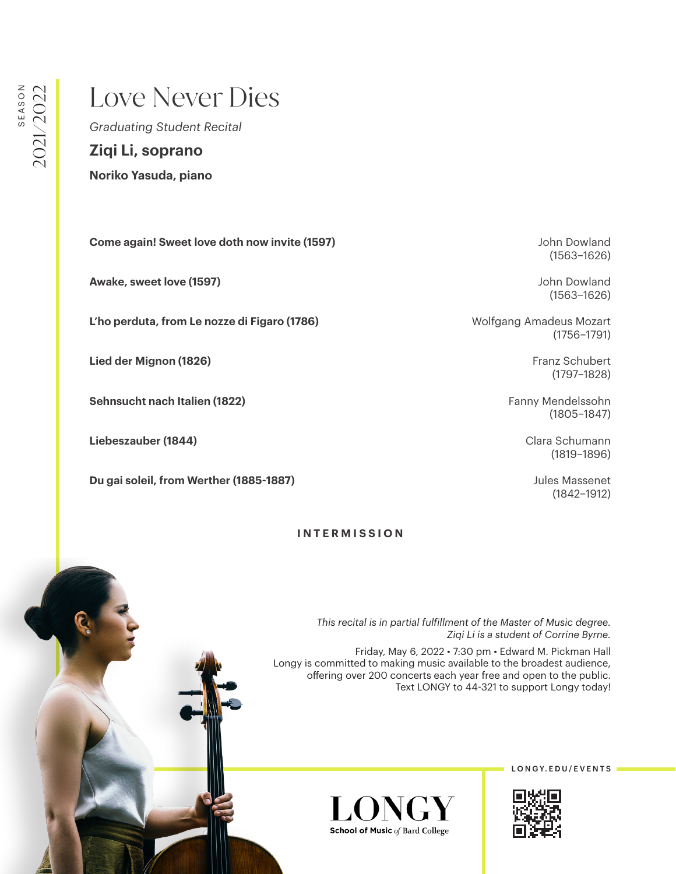## Love Never Dies

*Graduating Student Recital*

**Ziqi Li, soprano**

**Noriko Yasuda, piano**

**Come again! Sweet love doth now invite (1597) Come again! Sweet love doth now invite (1597) John Dowland** 

**Awake, sweet love (1597)** John Dowland

L'ho perduta, from Le nozze di Figaro (1786) **Music Electropy Amadeus Mozart** Wolfgang Amadeus Mozart

**Lied der Mignon (1826)** Franz Schubert (1828)

**Sehnsucht nach Italien (1822)** Fanny Mendelssohn

**Liebeszauber (1844)** Clara Schumann

**Du gai soleil, from Werther (1885-1887) Contract Contract Contract Contract Contract Contract Contract Contract Contract Contract Contract Contract Contract Contract Contract Contract Contract Contract Contract Contract** 

## **INTERMISSION**

(1563–1626)

(1563–1626)

(1756–1791)

(1797–1828)

(1805–1847)

(1819–1896)

(1842–1912)

*This recital is in partial fulfillment of the Master of Music degree. Ziqi Li is a student of Corrine Byrne.*

Friday, May 6, 2022 • 7:30 pm • Edward M. Pickman Hall Longy is committed to making music available to the broadest audience, offering over 200 concerts each year free and open to the public. Text LONGY to 44-321 to support Longy today!



LONGY. EDU/EVENTS